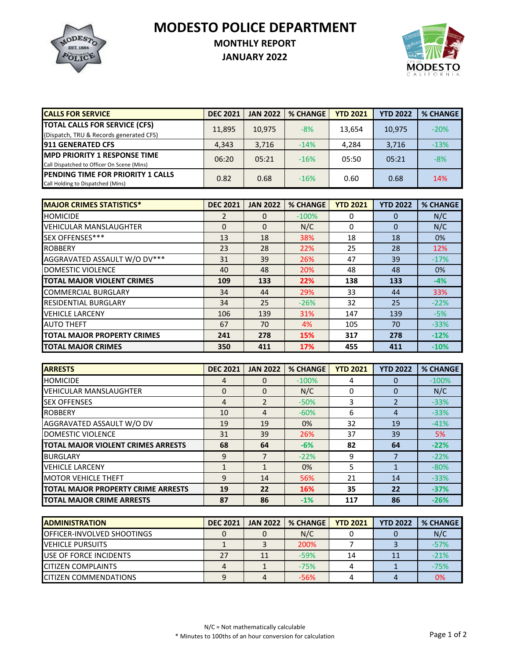**MODESTO POLICE DEPARTMENT**



## **MONTHLY REPORT**

**JANUARY 2022**



| <b>CALLS FOR SERVICE</b>                                                           | <b>DEC 2021</b> | <b>JAN 2022</b> | <b>% CHANGE</b> | <b>YTD 2021</b> | <b>YTD 2022</b> | <b>% CHANGE</b> |
|------------------------------------------------------------------------------------|-----------------|-----------------|-----------------|-----------------|-----------------|-----------------|
| <b>TOTAL CALLS FOR SERVICE (CFS)</b><br>(Dispatch, TRU & Records generated CFS)    | 11,895          | 10.975          | $-8%$           | 13.654          | 10.975          | $-20%$          |
| <b>911 GENERATED CFS</b>                                                           | 4.343           | 3,716           | $-14%$          | 4,284           | 3,716           | $-13%$          |
| <b>IMPD PRIORITY 1 RESPONSE TIME</b><br>Call Dispatched to Officer On Scene (Mins) | 06:20           | 05:21           | $-16%$          | 05:50           | 05:21           | $-8%$           |
| <b>IPENDING TIME FOR PRIORITY 1 CALLS</b><br>Call Holding to Dispatched (Mins)     | 0.82            | 0.68            | $-16%$          | 0.60            | 0.68            | 14%             |

| <b>MAJOR CRIMES STATISTICS*</b>    | <b>DEC 2021</b> | <b>JAN 2022</b> | <b>% CHANGE</b> | <b>YTD 2021</b> | <b>YTD 2022</b> | <b>% CHANGE</b> |
|------------------------------------|-----------------|-----------------|-----------------|-----------------|-----------------|-----------------|
| <b>HOMICIDE</b>                    | 2               | 0               | $-100%$         | 0               | $\Omega$        | N/C             |
| <b>VEHICULAR MANSLAUGHTER</b>      | $\Omega$        | $\Omega$        | N/C             | 0               | $\Omega$        | N/C             |
| SEX OFFENSES***                    | 13              | 18              | 38%             | 18              | 18              | 0%              |
| <b>ROBBERY</b>                     | 23              | 28              | 22%             | 25              | 28              | 12%             |
| AGGRAVATED ASSAULT W/O DV***       | 31              | 39              | 26%             | 47              | 39              | $-17%$          |
| <b>DOMESTIC VIOLENCE</b>           | 40              | 48              | 20%             | 48              | 48              | 0%              |
| <b>TOTAL MAJOR VIOLENT CRIMES</b>  | 109             | 133             | 22%             | 138             | 133             | $-4%$           |
| <b>COMMERCIAL BURGLARY</b>         | 34              | 44              | 29%             | 33              | 44              | 33%             |
| <b>RESIDENTIAL BURGLARY</b>        | 34              | 25              | $-26%$          | 32              | 25              | $-22%$          |
| <b>VEHICLE LARCENY</b>             | 106             | 139             | 31%             | 147             | 139             | $-5%$           |
| <b>AUTO THEFT</b>                  | 67              | 70              | 4%              | 105             | 70              | $-33%$          |
| <b>TOTAL MAJOR PROPERTY CRIMES</b> | 241             | 278             | 15%             | 317             | 278             | $-12%$          |
| <b>TOTAL MAJOR CRIMES</b>          | 350             | 411             | 17%             | 455             | 411             | $-10%$          |

| <b>ARRESTS</b>                     | <b>DEC 2021</b> | <b>JAN 2022</b>          | <b>% CHANGE</b> | <b>YTD 2021</b> | <b>YTD 2022</b> | <b>% CHANGE</b> |
|------------------------------------|-----------------|--------------------------|-----------------|-----------------|-----------------|-----------------|
| <b>HOMICIDE</b>                    | 4               | 0                        | $-100%$         | 4               |                 | $-100%$         |
| <b>VEHICULAR MANSLAUGHTER</b>      | 0               | $\Omega$                 | N/C             |                 | $\Omega$        | N/C             |
| <b>SEX OFFENSES</b>                | 4               | $\overline{\phantom{a}}$ | $-50%$          | 3               |                 | $-33%$          |
| <b>ROBBERY</b>                     | 10              | 4                        | $-60%$          | 6               | 4               | $-33%$          |
| AGGRAVATED ASSAULT W/O DV          | 19              | 19                       | $0\%$           | 32              | 19              | $-41%$          |
| DOMESTIC VIOLENCE                  | 31              | 39                       | 26%             | 37              | 39              | 5%              |
| TOTAL MAJOR VIOLENT CRIMES ARRESTS | 68              | 64                       | $-6%$           | 82              | 64              | $-22%$          |
| <b>BURGLARY</b>                    | 9               |                          | $-22%$          | 9               |                 | $-22%$          |
| <b>VEHICLE LARCENY</b>             |                 | 1                        | 0%              | 5               |                 | $-80%$          |
| <b>MOTOR VEHICLE THEFT</b>         | 9               | 14                       | 56%             | 21              | 14              | $-33%$          |
| TOTAL MAJOR PROPERTY CRIME ARRESTS | 19              | 22                       | 16%             | 35              | 22              | $-37%$          |
| <b>TOTAL MAJOR CRIME ARRESTS</b>   | 87              | 86                       | $-1%$           | 117             | 86              | $-26%$          |

| <b>IADMINISTRATION</b>         | <b>DEC 2021</b> | <b>JAN 2022</b> | <b>% CHANGE</b> | <b>YTD 2021</b> | <b>YTD 2022</b> | % CHANGE |
|--------------------------------|-----------------|-----------------|-----------------|-----------------|-----------------|----------|
| OFFICER-INVOLVED SHOOTINGS     |                 |                 | N/C             |                 |                 | N/C      |
| <b>VEHICLE PURSUITS</b>        |                 |                 | 200%            |                 |                 | $-57%$   |
| <b>IUSE OF FORCE INCIDENTS</b> | 27              | 11              | $-59%$          |                 |                 | $-21%$   |
| <b>CITIZEN COMPLAINTS</b>      |                 |                 | $-75%$          |                 |                 | $-75%$   |
| <b>CITIZEN COMMENDATIONS</b>   |                 |                 | $-56%$          |                 |                 | 0%       |